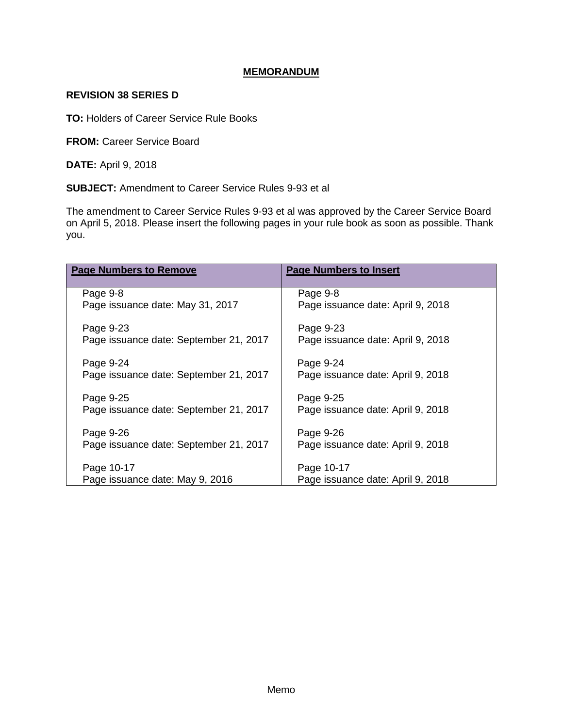## **MEMORANDUM**

## **REVISION 38 SERIES D**

**TO:** Holders of Career Service Rule Books

**FROM: Career Service Board** 

**DATE:** April 9, 2018

**SUBJECT:** Amendment to Career Service Rules 9-93 et al

The amendment to Career Service Rules 9-93 et al was approved by the Career Service Board on April 5, 2018. Please insert the following pages in your rule book as soon as possible. Thank you.

| <b>Page Numbers to Remove</b>          | <b>Page Numbers to Insert</b>     |
|----------------------------------------|-----------------------------------|
| Page 9-8                               | Page 9-8                          |
| Page issuance date: May 31, 2017       | Page issuance date: April 9, 2018 |
| Page 9-23                              | Page 9-23                         |
| Page issuance date: September 21, 2017 | Page issuance date: April 9, 2018 |
| Page 9-24                              | Page 9-24                         |
| Page issuance date: September 21, 2017 | Page issuance date: April 9, 2018 |
| Page 9-25                              | Page 9-25                         |
| Page issuance date: September 21, 2017 | Page issuance date: April 9, 2018 |
| Page 9-26                              | Page 9-26                         |
| Page issuance date: September 21, 2017 | Page issuance date: April 9, 2018 |
| Page 10-17                             | Page 10-17                        |
| Page issuance date: May 9, 2016        | Page issuance date: April 9, 2018 |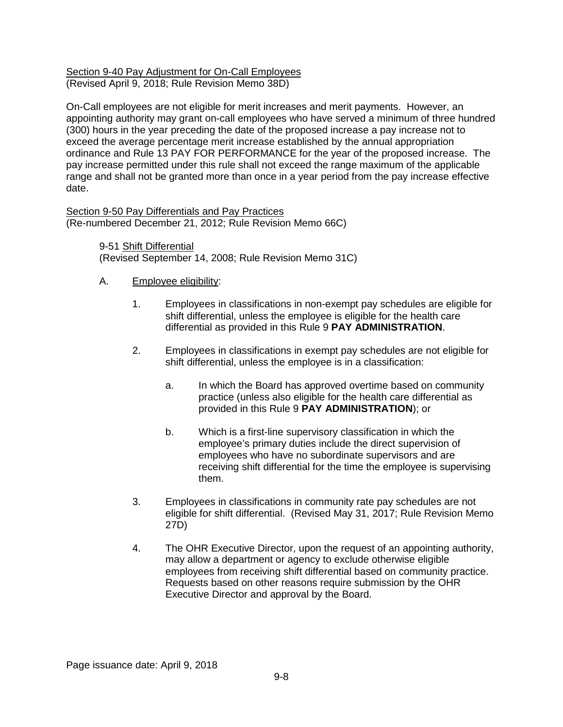#### Section 9-40 Pay Adjustment for On-Call Employees (Revised April 9, 2018; Rule Revision Memo 38D)

On-Call employees are not eligible for merit increases and merit payments. However, an appointing authority may grant on-call employees who have served a minimum of three hundred (300) hours in the year preceding the date of the proposed increase a pay increase not to exceed the average percentage merit increase established by the annual appropriation ordinance and Rule 13 PAY FOR PERFORMANCE for the year of the proposed increase. The pay increase permitted under this rule shall not exceed the range maximum of the applicable range and shall not be granted more than once in a year period from the pay increase effective date.

Section 9-50 Pay Differentials and Pay Practices (Re-numbered December 21, 2012; Rule Revision Memo 66C)

> 9-51 Shift Differential (Revised September 14, 2008; Rule Revision Memo 31C)

# A. Employee eligibility:

- 1. Employees in classifications in non-exempt pay schedules are eligible for shift differential, unless the employee is eligible for the health care differential as provided in this Rule 9 **PAY ADMINISTRATION**.
- 2. Employees in classifications in exempt pay schedules are not eligible for shift differential, unless the employee is in a classification:
	- a. In which the Board has approved overtime based on community practice (unless also eligible for the health care differential as provided in this Rule 9 **PAY ADMINISTRATION**); or
	- b. Which is a first-line supervisory classification in which the employee's primary duties include the direct supervision of employees who have no subordinate supervisors and are receiving shift differential for the time the employee is supervising them.
- 3. Employees in classifications in community rate pay schedules are not eligible for shift differential. (Revised May 31, 2017; Rule Revision Memo 27D)
- 4. The OHR Executive Director, upon the request of an appointing authority, may allow a department or agency to exclude otherwise eligible employees from receiving shift differential based on community practice. Requests based on other reasons require submission by the OHR Executive Director and approval by the Board.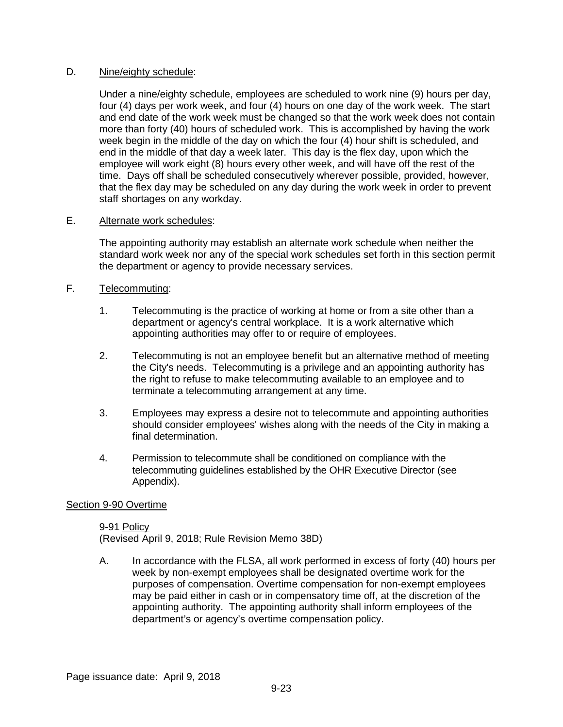### D. Nine/eighty schedule:

Under a nine/eighty schedule, employees are scheduled to work nine (9) hours per day, four (4) days per work week, and four (4) hours on one day of the work week. The start and end date of the work week must be changed so that the work week does not contain more than forty (40) hours of scheduled work. This is accomplished by having the work week begin in the middle of the day on which the four (4) hour shift is scheduled, and end in the middle of that day a week later. This day is the flex day, upon which the employee will work eight (8) hours every other week, and will have off the rest of the time. Days off shall be scheduled consecutively wherever possible, provided, however, that the flex day may be scheduled on any day during the work week in order to prevent staff shortages on any workday.

### E. Alternate work schedules:

The appointing authority may establish an alternate work schedule when neither the standard work week nor any of the special work schedules set forth in this section permit the department or agency to provide necessary services.

# F. Telecommuting:

- 1. Telecommuting is the practice of working at home or from a site other than a department or agency's central workplace. It is a work alternative which appointing authorities may offer to or require of employees.
- 2. Telecommuting is not an employee benefit but an alternative method of meeting the City's needs. Telecommuting is a privilege and an appointing authority has the right to refuse to make telecommuting available to an employee and to terminate a telecommuting arrangement at any time.
- 3. Employees may express a desire not to telecommute and appointing authorities should consider employees' wishes along with the needs of the City in making a final determination.
- 4. Permission to telecommute shall be conditioned on compliance with the telecommuting guidelines established by the OHR Executive Director (see Appendix).

## Section 9-90 Overtime

9-91 Policy (Revised April 9, 2018; Rule Revision Memo 38D)

A. In accordance with the FLSA, all work performed in excess of forty (40) hours per week by non-exempt employees shall be designated overtime work for the purposes of compensation. Overtime compensation for non-exempt employees may be paid either in cash or in compensatory time off, at the discretion of the appointing authority. The appointing authority shall inform employees of the department's or agency's overtime compensation policy.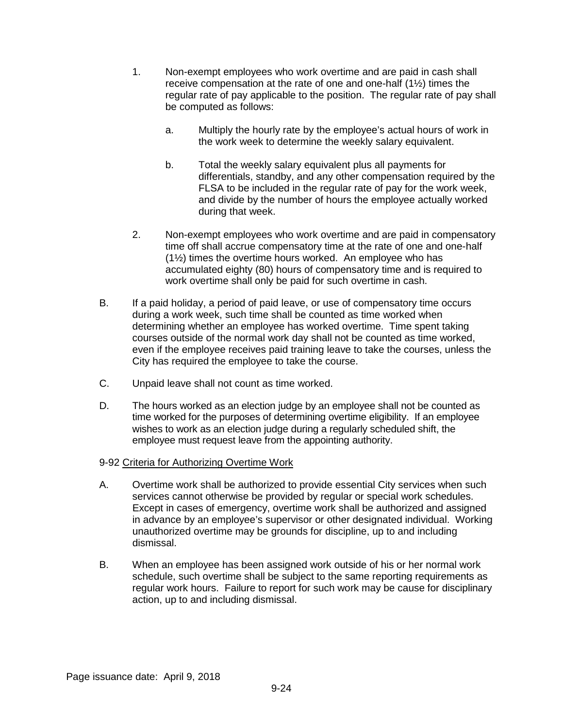- 1. Non-exempt employees who work overtime and are paid in cash shall receive compensation at the rate of one and one-half (1½) times the regular rate of pay applicable to the position. The regular rate of pay shall be computed as follows:
	- a. Multiply the hourly rate by the employee's actual hours of work in the work week to determine the weekly salary equivalent.
	- b. Total the weekly salary equivalent plus all payments for differentials, standby, and any other compensation required by the FLSA to be included in the regular rate of pay for the work week, and divide by the number of hours the employee actually worked during that week.
- 2. Non-exempt employees who work overtime and are paid in compensatory time off shall accrue compensatory time at the rate of one and one-half (1½) times the overtime hours worked. An employee who has accumulated eighty (80) hours of compensatory time and is required to work overtime shall only be paid for such overtime in cash.
- B. If a paid holiday, a period of paid leave, or use of compensatory time occurs during a work week, such time shall be counted as time worked when determining whether an employee has worked overtime. Time spent taking courses outside of the normal work day shall not be counted as time worked, even if the employee receives paid training leave to take the courses, unless the City has required the employee to take the course.
- C. Unpaid leave shall not count as time worked.
- D. The hours worked as an election judge by an employee shall not be counted as time worked for the purposes of determining overtime eligibility. If an employee wishes to work as an election judge during a regularly scheduled shift, the employee must request leave from the appointing authority.
- 9-92 Criteria for Authorizing Overtime Work
- A. Overtime work shall be authorized to provide essential City services when such services cannot otherwise be provided by regular or special work schedules. Except in cases of emergency, overtime work shall be authorized and assigned in advance by an employee's supervisor or other designated individual. Working unauthorized overtime may be grounds for discipline, up to and including dismissal.
- B. When an employee has been assigned work outside of his or her normal work schedule, such overtime shall be subject to the same reporting requirements as regular work hours. Failure to report for such work may be cause for disciplinary action, up to and including dismissal.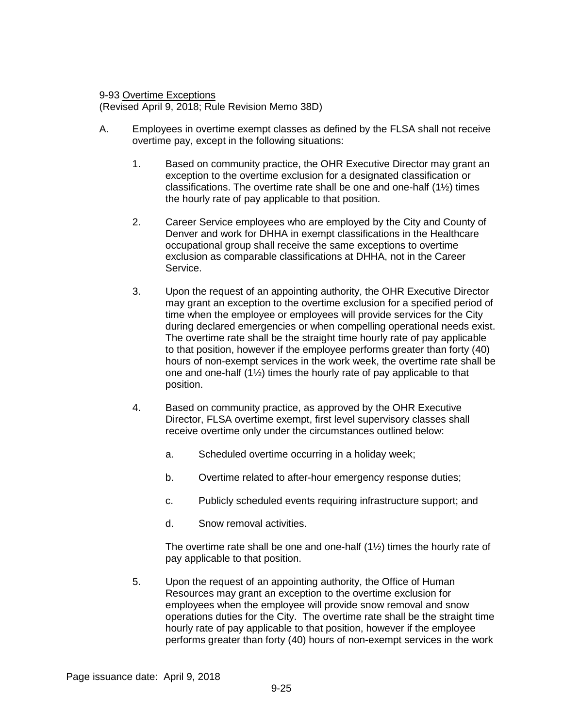#### 9-93 Overtime Exceptions

(Revised April 9, 2018; Rule Revision Memo 38D)

- A. Employees in overtime exempt classes as defined by the FLSA shall not receive overtime pay, except in the following situations:
	- 1. Based on community practice, the OHR Executive Director may grant an exception to the overtime exclusion for a designated classification or classifications. The overtime rate shall be one and one-half (1½) times the hourly rate of pay applicable to that position.
	- 2. Career Service employees who are employed by the City and County of Denver and work for DHHA in exempt classifications in the Healthcare occupational group shall receive the same exceptions to overtime exclusion as comparable classifications at DHHA, not in the Career Service.
	- 3. Upon the request of an appointing authority, the OHR Executive Director may grant an exception to the overtime exclusion for a specified period of time when the employee or employees will provide services for the City during declared emergencies or when compelling operational needs exist. The overtime rate shall be the straight time hourly rate of pay applicable to that position, however if the employee performs greater than forty (40) hours of non-exempt services in the work week, the overtime rate shall be one and one-half (1½) times the hourly rate of pay applicable to that position.
	- 4. Based on community practice, as approved by the OHR Executive Director, FLSA overtime exempt, first level supervisory classes shall receive overtime only under the circumstances outlined below:
		- a. Scheduled overtime occurring in a holiday week;
		- b. Overtime related to after-hour emergency response duties;
		- c. Publicly scheduled events requiring infrastructure support; and
		- d. Snow removal activities.

The overtime rate shall be one and one-half  $(1/2)$  times the hourly rate of pay applicable to that position.

5. Upon the request of an appointing authority, the Office of Human Resources may grant an exception to the overtime exclusion for employees when the employee will provide snow removal and snow operations duties for the City. The overtime rate shall be the straight time hourly rate of pay applicable to that position, however if the employee performs greater than forty (40) hours of non-exempt services in the work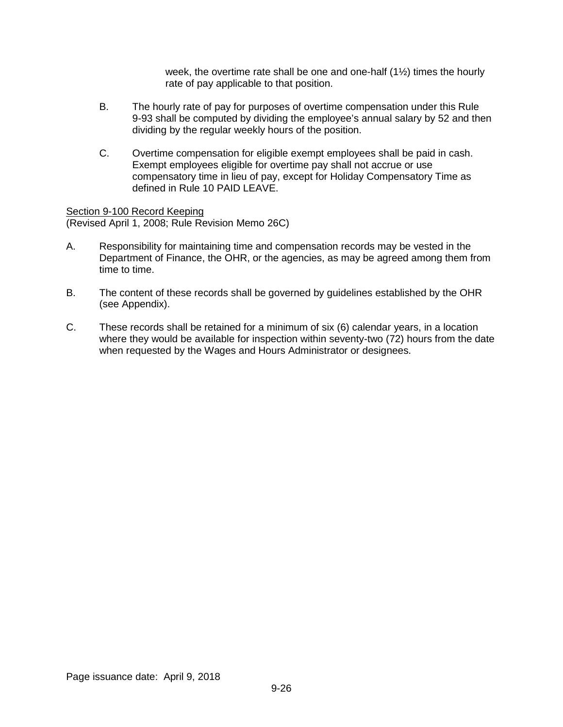week, the overtime rate shall be one and one-half  $(1\frac{1}{2})$  times the hourly rate of pay applicable to that position.

- B. The hourly rate of pay for purposes of overtime compensation under this Rule 9-93 shall be computed by dividing the employee's annual salary by 52 and then dividing by the regular weekly hours of the position.
- C. Overtime compensation for eligible exempt employees shall be paid in cash. Exempt employees eligible for overtime pay shall not accrue or use compensatory time in lieu of pay, except for Holiday Compensatory Time as defined in Rule 10 PAID LEAVE.

Section 9-100 Record Keeping (Revised April 1, 2008; Rule Revision Memo 26C)

- A. Responsibility for maintaining time and compensation records may be vested in the Department of Finance, the OHR, or the agencies, as may be agreed among them from time to time.
- B. The content of these records shall be governed by guidelines established by the OHR (see Appendix).
- C. These records shall be retained for a minimum of six (6) calendar years, in a location where they would be available for inspection within seventy-two (72) hours from the date when requested by the Wages and Hours Administrator or designees.